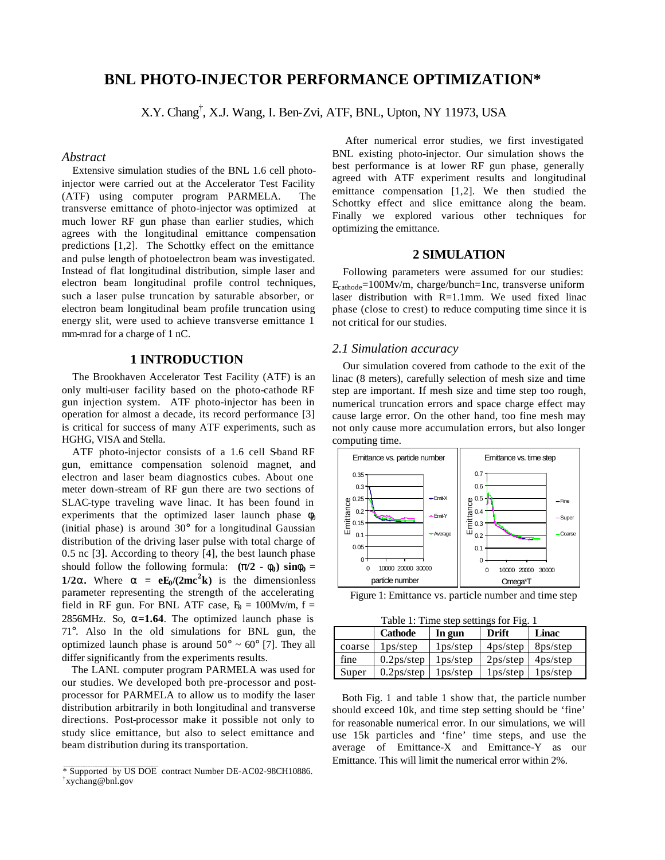# **BNL PHOTO-INJECTOR PERFORMANCE OPTIMIZATION\***

X.Y. Chang† , X.J. Wang, I. Ben-Zvi, ATF, BNL, Upton, NY 11973, USA

### *Abstract*

Extensive simulation studies of the BNL 1.6 cell photoinjector were carried out at the Accelerator Test Facility (ATF) using computer program PARMELA. The transverse emittance of photo-injector was optimized at much lower RF gun phase than earlier studies, which agrees with the longitudinal emittance compensation predictions [1,2]. The Schottky effect on the emittance and pulse length of photoelectron beam was investigated. Instead of flat longitudinal distribution, simple laser and electron beam longitudinal profile control techniques, such a laser pulse truncation by saturable absorber, or electron beam longitudinal beam profile truncation using energy slit, were used to achieve transverse emittance 1 mm-mrad for a charge of 1 nC.

## **1 INTRODUCTION**

The Brookhaven Accelerator Test Facility (ATF) is an only multi-user facility based on the photo-cathode RF gun injection system. ATF photo-injector has been in operation for almost a decade, its record performance [3] is critical for success of many ATF experiments, such as HGHG, VISA and Stella.

ATF photo-injector consists of a  $1.6$  cell S-band RF gun, emittance compensation solenoid magnet, and electron and laser beam diagnostics cubes. About one meter down-stream of RF gun there are two sections of SLAC-type traveling wave linac. It has been found in experiments that the optimized laser launch phase  $\phi_0$ (initial phase) is around 30° for a longitudinal Gaussian distribution of the driving laser pulse with total charge of 0.5 nc [3]. According to theory [4], the best launch phase should follow the following formula:  $(\mathbf{p}/2 \cdot \mathbf{f}_0) \sin \mathbf{f}_0 =$ **1/2a.** Where  $\mathbf{a} = \mathbf{e} \mathbf{E}_0 / (2 \mathbf{m} \mathbf{c}^2 \mathbf{k})$  is the dimensionless parameter representing the strength of the accelerating field in RF gun. For BNL ATF case,  $E_0 = 100Mv/m$ , f = 2856MHz. So, **a=1.64**. The optimized launch phase is 71°. Also In the old simulations for BNL gun, the optimized launch phase is around  $50^{\circ} \sim 60^{\circ}$  [7]. They all differ significantly from the experiments results.

The LANL computer program PARMELA was used for our studies. We developed both pre-processor and postprocessor for PARMELA to allow us to modify the laser distribution arbitrarily in both longitudinal and transverse directions. Post-processor make it possible not only to study slice emittance, but also to select emittance and beam distribution during its transportation.

 After numerical error studies, we first investigated BNL existing photo-injector. Our simulation shows the best performance is at lower RF gun phase, generally agreed with ATF experiment results and longitudinal emittance compensation [1,2]. We then studied the Schottky effect and slice emittance along the beam. Finally we explored various other techniques for optimizing the emittance.

## **2 SIMULATION**

Following parameters were assumed for our studies: Ecathode=100Mv/m, charge/bunch=1nc, transverse uniform laser distribution with R=1.1mm. We used fixed linac phase (close to crest) to reduce computing time since it is not critical for our studies.

#### *2.1 Simulation accuracy*

Our simulation covered from cathode to the exit of the linac (8 meters), carefully selection of mesh size and time step are important. If mesh size and time step too rough, numerical truncation errors and space charge effect may cause large error. On the other hand, too fine mesh may not only cause more accumulation errors, but also longer computing time.



Figure 1: Emittance vs. particle number and time step

Table 1: Time step settings for Fig. 1

| rable 1. This step settings for Fig. 1 |                                     |                       |                          |                       |
|----------------------------------------|-------------------------------------|-----------------------|--------------------------|-----------------------|
|                                        | <b>Cathode</b>                      | In gun                | Drift                    | Linac                 |
| coarse                                 | 1 <sub>ps</sub> /step               | 1 <sub>ps</sub> /step | $4$ ps/step $8$ ps/step  |                       |
| fine                                   | $0.2$ ps/step                       | 1 <sub>ps</sub> /step | $2ps/step \mid 4ps/step$ |                       |
| Super                                  | 0.2 <sub>ps</sub> / <sub>step</sub> | 1 <sub>ps</sub> /step | 1 <sub>ps</sub> /step    | 1 <sub>ps</sub> /step |

Both Fig. 1 and table 1 show that, the particle number should exceed 10k, and time step setting should be 'fine' for reasonable numerical error. In our simulations, we will use 15k particles and 'fine' time steps, and use the average of Emittance-X and Emittance-Y as our Emittance. This will limit the numerical error within 2%.

<sup>\*</sup> Supported by US DOE contract Number DE-AC02-98CH10886. † xychang@bnl.gov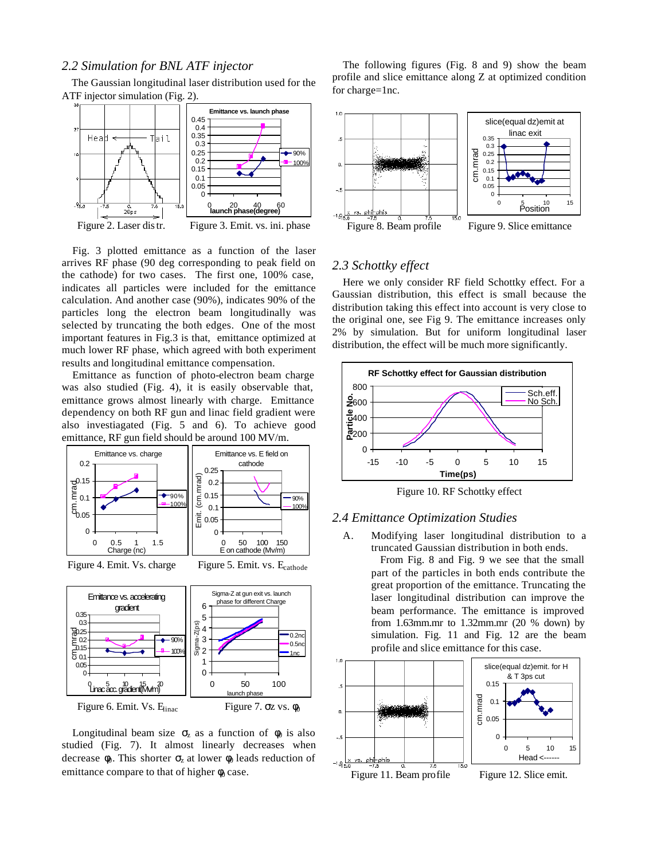## *2.2 Simulation for BNL ATF injector*

The Gaussian longitudinal laser distribution used for the ATF injector simulation (Fig. 2).



Fig. 3 plotted emittance as a function of the laser arrives RF phase (90 deg corresponding to peak field on the cathode) for two cases. The first one, 100% case, indicates all particles were included for the emittance calculation. And another case (90%), indicates 90% of the particles long the electron beam longitudinally was selected by truncating the both edges. One of the most important features in Fig.3 is that, emittance optimized at much lower RF phase, which agreed with both experiment results and longitudinal emittance compensation.

Emittance as function of photo-electron beam charge was also studied (Fig. 4), it is easily observable that, emittance grows almost linearly with charge. Emittance dependency on both RF gun and linac field gradient were also investiagated (Fig. 5 and 6). To achieve good emittance, RF gun field should be around 100 MV/m.



#### Figure 4. Emit. Vs. charge Figure 5. Emit. vs. E<sub>cathode</sub>



Longitudinal beam size  $\sigma_z$  as a function of  $\phi_0$  is also studied (Fig. 7). It almost linearly decreases when decrease  $\phi_0$ . This shorter  $\sigma_z$  at lower  $\phi_0$  leads reduction of emittance compare to that of higher  $\phi_0$  case.

The following figures (Fig. 8 and 9) show the beam profile and slice emittance along Z at optimized condition for charge=1nc.



## *2.3 Schottky effect*

Here we only consider RF field Schottky effect. For a Gaussian distribution, this effect is small because the distribution taking this effect into account is very close to the original one, see Fig 9. The emittance increases only 2% by simulation. But for uniform longitudinal laser distribution, the effect will be much more significantly.





#### *2.4 Emittance Optimization Studies*

- A. Modifying laser longitudinal distribution to a truncated Gaussian distribution in both ends.
	- From Fig. 8 and Fig. 9 we see that the small part of the particles in both ends contribute the great proportion of the emittance. Truncating the laser longitudinal distribution can improve the beam performance. The emittance is improved from 1.63mm.mr to 1.32mm.mr (20 % down) by simulation. Fig. 11 and Fig. 12 are the beam profile and slice emittance for this case.